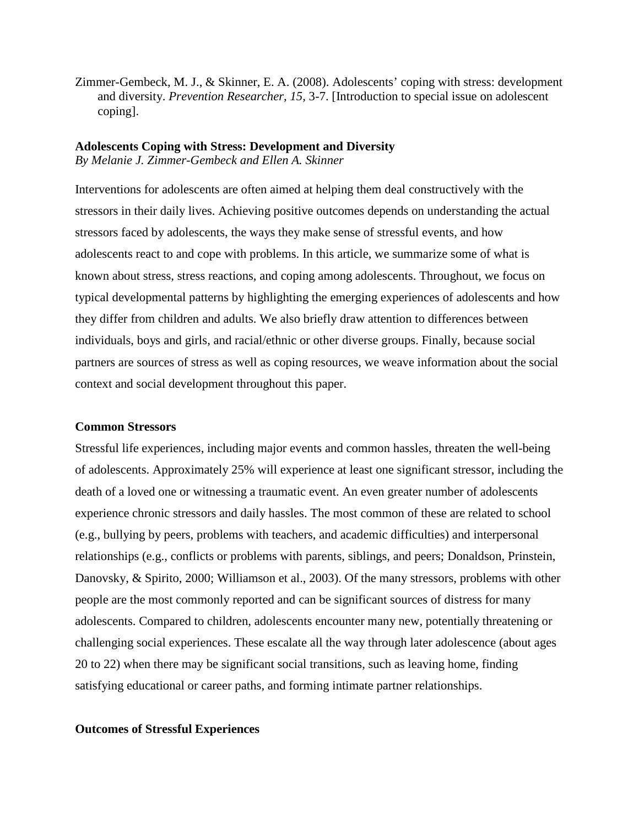Zimmer-Gembeck, M. J., & Skinner, E. A. (2008). Adolescents' coping with stress: development and diversity. *Prevention Researcher, 15,* 3-7. [Introduction to special issue on adolescent coping].

### **Adolescents Coping with Stress: Development and Diversity** *By Melanie J. Zimmer-Gembeck and Ellen A. Skinner*

Interventions for adolescents are often aimed at helping them deal constructively with the stressors in their daily lives. Achieving positive outcomes depends on understanding the actual stressors faced by adolescents, the ways they make sense of stressful events, and how adolescents react to and cope with problems. In this article, we summarize some of what is known about stress, stress reactions, and coping among adolescents. Throughout, we focus on typical developmental patterns by highlighting the emerging experiences of adolescents and how they differ from children and adults. We also briefly draw attention to differences between individuals, boys and girls, and racial/ethnic or other diverse groups. Finally, because social partners are sources of stress as well as coping resources, we weave information about the social context and social development throughout this paper.

# **Common Stressors**

Stressful life experiences, including major events and common hassles, threaten the well-being of adolescents. Approximately 25% will experience at least one significant stressor, including the death of a loved one or witnessing a traumatic event. An even greater number of adolescents experience chronic stressors and daily hassles. The most common of these are related to school (e.g., bullying by peers, problems with teachers, and academic difficulties) and interpersonal relationships (e.g., conflicts or problems with parents, siblings, and peers; Donaldson, Prinstein, Danovsky, & Spirito, 2000; Williamson et al., 2003). Of the many stressors, problems with other people are the most commonly reported and can be significant sources of distress for many adolescents. Compared to children, adolescents encounter many new, potentially threatening or challenging social experiences. These escalate all the way through later adolescence (about ages 20 to 22) when there may be significant social transitions, such as leaving home, finding satisfying educational or career paths, and forming intimate partner relationships.

### **Outcomes of Stressful Experiences**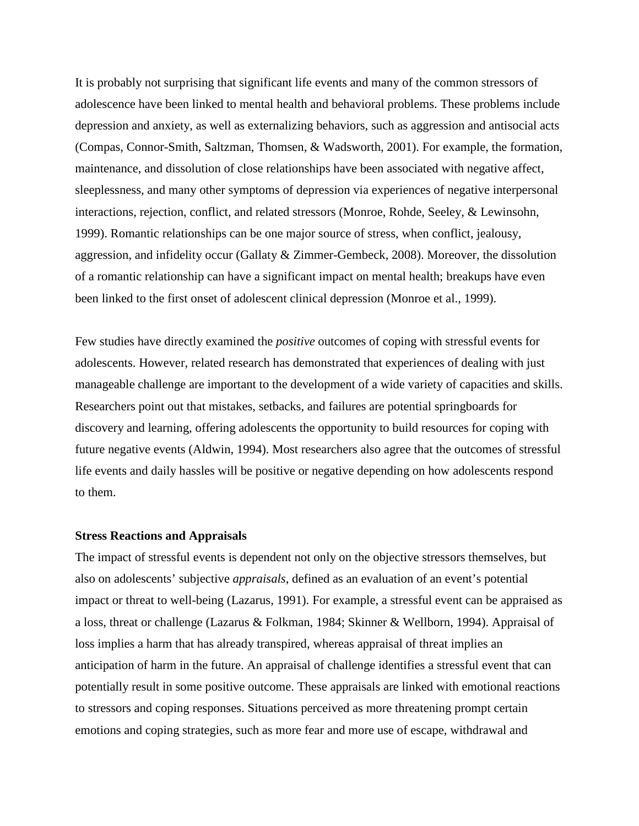It is probably not surprising that significant life events and many of the common stressors of adolescence have been linked to mental health and behavioral problems. These problems include depression and anxiety, as well as externalizing behaviors, such as aggression and antisocial acts (Compas, Connor-Smith, Saltzman, Thomsen, & Wadsworth, 2001). For example, the formation, maintenance, and dissolution of close relationships have been associated with negative affect, sleeplessness, and many other symptoms of depression via experiences of negative interpersonal interactions, rejection, conflict, and related stressors (Monroe, Rohde, Seeley, & Lewinsohn, 1999). Romantic relationships can be one major source of stress, when conflict, jealousy, aggression, and infidelity occur (Gallaty & Zimmer-Gembeck, 2008). Moreover, the dissolution of a romantic relationship can have a significant impact on mental health; breakups have even been linked to the first onset of adolescent clinical depression (Monroe et al., 1999).

Few studies have directly examined the *positive* outcomes of coping with stressful events for adolescents. However, related research has demonstrated that experiences of dealing with just manageable challenge are important to the development of a wide variety of capacities and skills. Researchers point out that mistakes, setbacks, and failures are potential springboards for discovery and learning, offering adolescents the opportunity to build resources for coping with future negative events (Aldwin, 1994). Most researchers also agree that the outcomes of stressful life events and daily hassles will be positive or negative depending on how adolescents respond to them.

### **Stress Reactions and Appraisals**

The impact of stressful events is dependent not only on the objective stressors themselves, but also on adolescents' subjective *appraisals*, defined as an evaluation of an event's potential impact or threat to well-being (Lazarus, 1991). For example, a stressful event can be appraised as a loss, threat or challenge (Lazarus & Folkman, 1984; Skinner & Wellborn, 1994). Appraisal of loss implies a harm that has already transpired, whereas appraisal of threat implies an anticipation of harm in the future. An appraisal of challenge identifies a stressful event that can potentially result in some positive outcome. These appraisals are linked with emotional reactions to stressors and coping responses. Situations perceived as more threatening prompt certain emotions and coping strategies, such as more fear and more use of escape, withdrawal and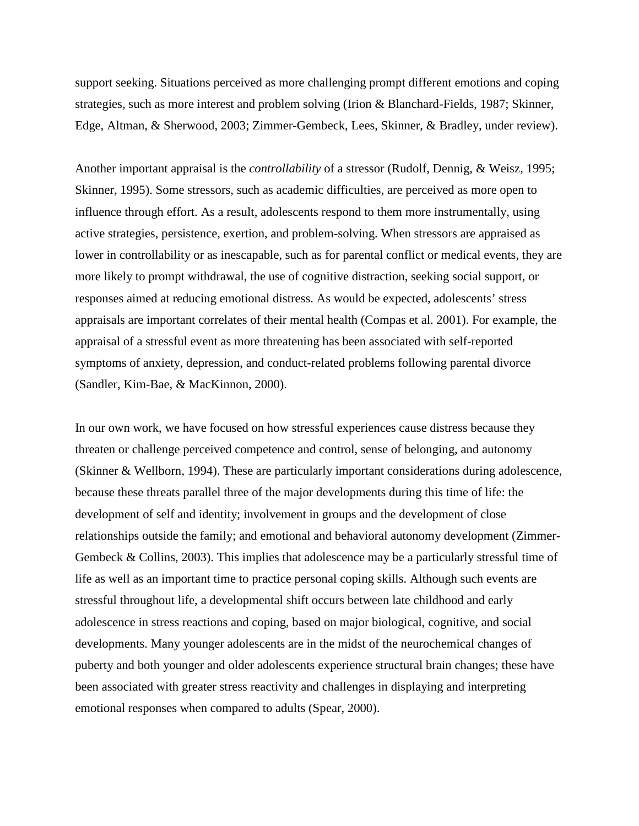support seeking. Situations perceived as more challenging prompt different emotions and coping strategies, such as more interest and problem solving (Irion & Blanchard-Fields, 1987; Skinner, Edge, Altman, & Sherwood, 2003; Zimmer-Gembeck, Lees, Skinner, & Bradley, under review).

Another important appraisal is the *controllability* of a stressor (Rudolf, Dennig, & Weisz, 1995; Skinner, 1995). Some stressors, such as academic difficulties, are perceived as more open to influence through effort. As a result, adolescents respond to them more instrumentally, using active strategies, persistence, exertion, and problem-solving. When stressors are appraised as lower in controllability or as inescapable, such as for parental conflict or medical events, they are more likely to prompt withdrawal, the use of cognitive distraction, seeking social support, or responses aimed at reducing emotional distress. As would be expected, adolescents' stress appraisals are important correlates of their mental health (Compas et al. 2001). For example, the appraisal of a stressful event as more threatening has been associated with self-reported symptoms of anxiety, depression, and conduct-related problems following parental divorce (Sandler, Kim-Bae, & MacKinnon, 2000).

In our own work, we have focused on how stressful experiences cause distress because they threaten or challenge perceived competence and control, sense of belonging, and autonomy (Skinner & Wellborn, 1994). These are particularly important considerations during adolescence, because these threats parallel three of the major developments during this time of life: the development of self and identity; involvement in groups and the development of close relationships outside the family; and emotional and behavioral autonomy development (Zimmer-Gembeck & Collins, 2003). This implies that adolescence may be a particularly stressful time of life as well as an important time to practice personal coping skills. Although such events are stressful throughout life, a developmental shift occurs between late childhood and early adolescence in stress reactions and coping, based on major biological, cognitive, and social developments. Many younger adolescents are in the midst of the neurochemical changes of puberty and both younger and older adolescents experience structural brain changes; these have been associated with greater stress reactivity and challenges in displaying and interpreting emotional responses when compared to adults (Spear, 2000).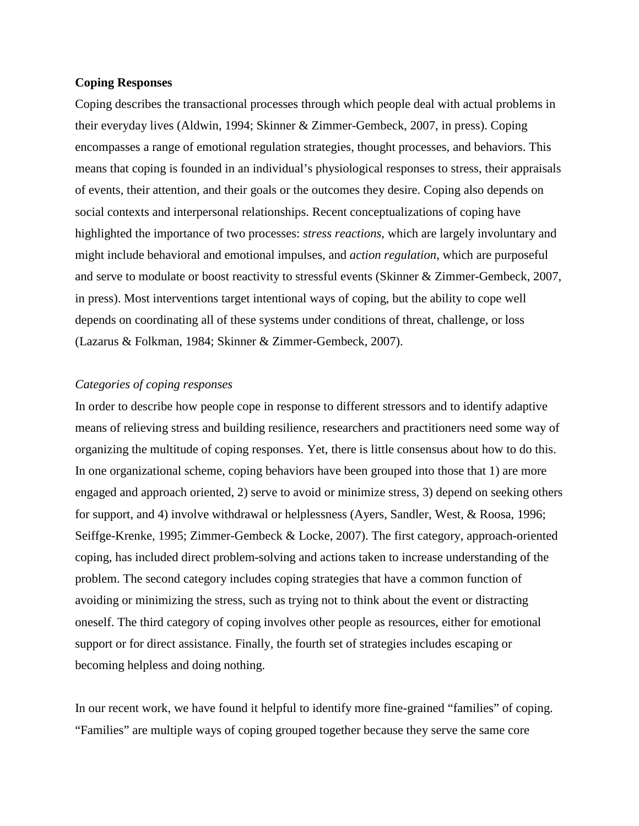### **Coping Responses**

Coping describes the transactional processes through which people deal with actual problems in their everyday lives (Aldwin, 1994; Skinner & Zimmer-Gembeck, 2007, in press). Coping encompasses a range of emotional regulation strategies, thought processes, and behaviors. This means that coping is founded in an individual's physiological responses to stress, their appraisals of events, their attention, and their goals or the outcomes they desire. Coping also depends on social contexts and interpersonal relationships. Recent conceptualizations of coping have highlighted the importance of two processes: *stress reactions*, which are largely involuntary and might include behavioral and emotional impulses, and *action regulation*, which are purposeful and serve to modulate or boost reactivity to stressful events (Skinner & Zimmer-Gembeck, 2007, in press). Most interventions target intentional ways of coping, but the ability to cope well depends on coordinating all of these systems under conditions of threat, challenge, or loss (Lazarus & Folkman, 1984; Skinner & Zimmer-Gembeck, 2007).

## *Categories of coping responses*

In order to describe how people cope in response to different stressors and to identify adaptive means of relieving stress and building resilience, researchers and practitioners need some way of organizing the multitude of coping responses. Yet, there is little consensus about how to do this. In one organizational scheme, coping behaviors have been grouped into those that 1) are more engaged and approach oriented, 2) serve to avoid or minimize stress, 3) depend on seeking others for support, and 4) involve withdrawal or helplessness (Ayers, Sandler, West, & Roosa, 1996; Seiffge-Krenke, 1995; Zimmer-Gembeck & Locke, 2007). The first category, approach-oriented coping, has included direct problem-solving and actions taken to increase understanding of the problem. The second category includes coping strategies that have a common function of avoiding or minimizing the stress, such as trying not to think about the event or distracting oneself. The third category of coping involves other people as resources, either for emotional support or for direct assistance. Finally, the fourth set of strategies includes escaping or becoming helpless and doing nothing.

In our recent work, we have found it helpful to identify more fine-grained "families" of coping. "Families" are multiple ways of coping grouped together because they serve the same core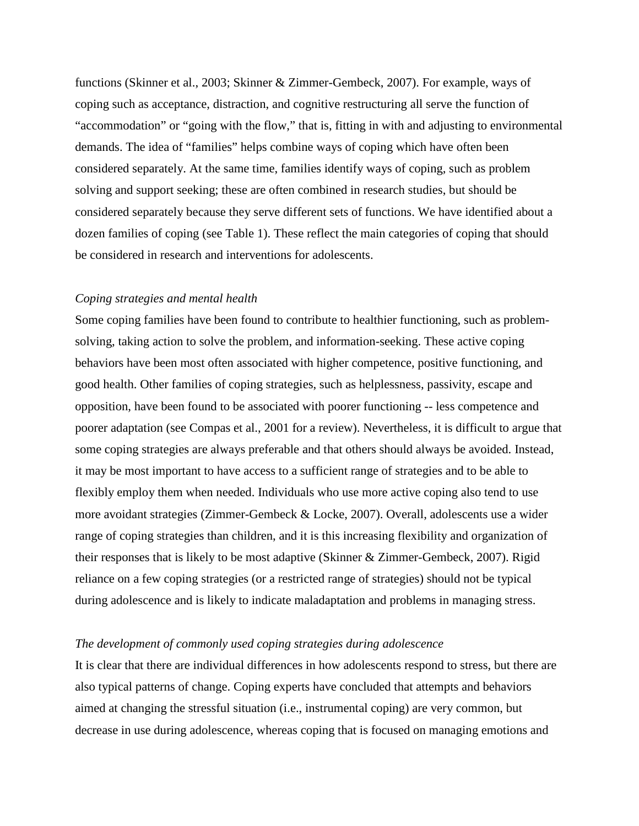functions (Skinner et al., 2003; Skinner & Zimmer-Gembeck, 2007). For example, ways of coping such as acceptance, distraction, and cognitive restructuring all serve the function of "accommodation" or "going with the flow," that is, fitting in with and adjusting to environmental demands. The idea of "families" helps combine ways of coping which have often been considered separately. At the same time, families identify ways of coping, such as problem solving and support seeking; these are often combined in research studies, but should be considered separately because they serve different sets of functions. We have identified about a dozen families of coping (see Table 1). These reflect the main categories of coping that should be considered in research and interventions for adolescents.

# *Coping strategies and mental health*

Some coping families have been found to contribute to healthier functioning, such as problemsolving, taking action to solve the problem, and information-seeking. These active coping behaviors have been most often associated with higher competence, positive functioning, and good health. Other families of coping strategies, such as helplessness, passivity, escape and opposition, have been found to be associated with poorer functioning -- less competence and poorer adaptation (see Compas et al., 2001 for a review). Nevertheless, it is difficult to argue that some coping strategies are always preferable and that others should always be avoided. Instead, it may be most important to have access to a sufficient range of strategies and to be able to flexibly employ them when needed. Individuals who use more active coping also tend to use more avoidant strategies (Zimmer-Gembeck & Locke, 2007). Overall, adolescents use a wider range of coping strategies than children, and it is this increasing flexibility and organization of their responses that is likely to be most adaptive (Skinner & Zimmer-Gembeck, 2007). Rigid reliance on a few coping strategies (or a restricted range of strategies) should not be typical during adolescence and is likely to indicate maladaptation and problems in managing stress.

### *The development of commonly used coping strategies during adolescence*

It is clear that there are individual differences in how adolescents respond to stress, but there are also typical patterns of change. Coping experts have concluded that attempts and behaviors aimed at changing the stressful situation (i.e., instrumental coping) are very common, but decrease in use during adolescence, whereas coping that is focused on managing emotions and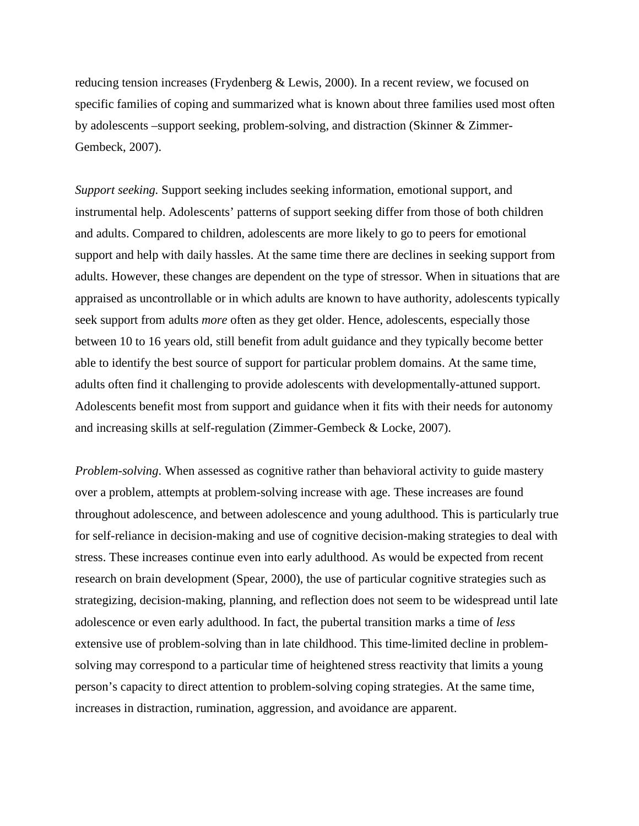reducing tension increases (Frydenberg & Lewis, 2000). In a recent review, we focused on specific families of coping and summarized what is known about three families used most often by adolescents –support seeking, problem-solving, and distraction (Skinner & Zimmer-Gembeck, 2007).

*Support seeking.* Support seeking includes seeking information, emotional support, and instrumental help. Adolescents' patterns of support seeking differ from those of both children and adults. Compared to children, adolescents are more likely to go to peers for emotional support and help with daily hassles. At the same time there are declines in seeking support from adults. However, these changes are dependent on the type of stressor. When in situations that are appraised as uncontrollable or in which adults are known to have authority, adolescents typically seek support from adults *more* often as they get older. Hence, adolescents, especially those between 10 to 16 years old, still benefit from adult guidance and they typically become better able to identify the best source of support for particular problem domains. At the same time, adults often find it challenging to provide adolescents with developmentally-attuned support. Adolescents benefit most from support and guidance when it fits with their needs for autonomy and increasing skills at self-regulation (Zimmer-Gembeck & Locke, 2007).

*Problem-solving*. When assessed as cognitive rather than behavioral activity to guide mastery over a problem, attempts at problem-solving increase with age. These increases are found throughout adolescence, and between adolescence and young adulthood. This is particularly true for self-reliance in decision-making and use of cognitive decision-making strategies to deal with stress. These increases continue even into early adulthood. As would be expected from recent research on brain development (Spear, 2000), the use of particular cognitive strategies such as strategizing, decision-making, planning, and reflection does not seem to be widespread until late adolescence or even early adulthood. In fact, the pubertal transition marks a time of *less* extensive use of problem-solving than in late childhood. This time-limited decline in problemsolving may correspond to a particular time of heightened stress reactivity that limits a young person's capacity to direct attention to problem-solving coping strategies. At the same time, increases in distraction, rumination, aggression, and avoidance are apparent.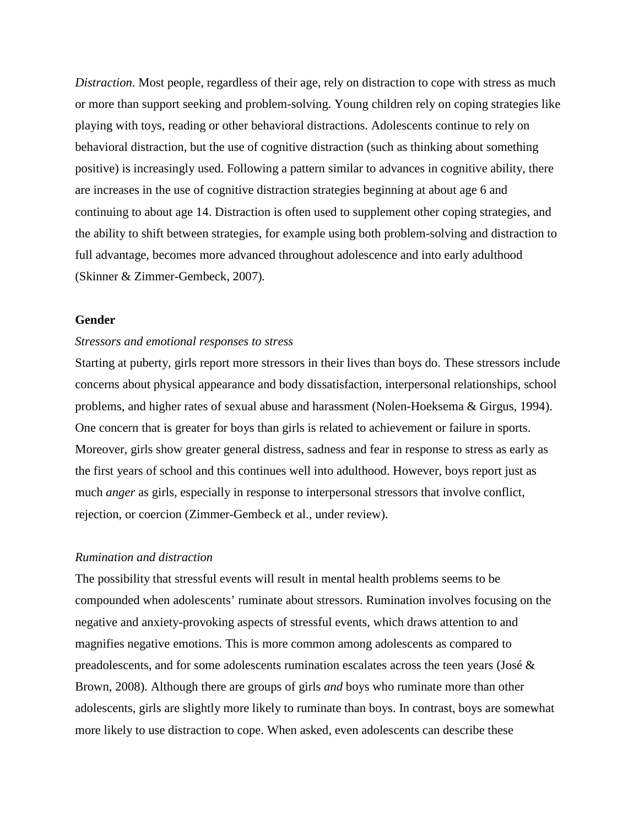*Distraction*. Most people, regardless of their age, rely on distraction to cope with stress as much or more than support seeking and problem-solving. Young children rely on coping strategies like playing with toys, reading or other behavioral distractions. Adolescents continue to rely on behavioral distraction, but the use of cognitive distraction (such as thinking about something positive) is increasingly used. Following a pattern similar to advances in cognitive ability, there are increases in the use of cognitive distraction strategies beginning at about age 6 and continuing to about age 14. Distraction is often used to supplement other coping strategies, and the ability to shift between strategies, for example using both problem-solving and distraction to full advantage, becomes more advanced throughout adolescence and into early adulthood (Skinner & Zimmer-Gembeck, 2007)*.* 

# **Gender**

### *Stressors and emotional responses to stress*

Starting at puberty, girls report more stressors in their lives than boys do. These stressors include concerns about physical appearance and body dissatisfaction, interpersonal relationships, school problems, and higher rates of sexual abuse and harassment (Nolen-Hoeksema & Girgus, 1994). One concern that is greater for boys than girls is related to achievement or failure in sports. Moreover, girls show greater general distress, sadness and fear in response to stress as early as the first years of school and this continues well into adulthood. However, boys report just as much *anger* as girls, especially in response to interpersonal stressors that involve conflict, rejection, or coercion (Zimmer-Gembeck et al., under review).

# *Rumination and distraction*

The possibility that stressful events will result in mental health problems seems to be compounded when adolescents' ruminate about stressors. Rumination involves focusing on the negative and anxiety-provoking aspects of stressful events, which draws attention to and magnifies negative emotions. This is more common among adolescents as compared to preadolescents, and for some adolescents rumination escalates across the teen years (José & Brown, 2008). Although there are groups of girls *and* boys who ruminate more than other adolescents, girls are slightly more likely to ruminate than boys. In contrast, boys are somewhat more likely to use distraction to cope. When asked, even adolescents can describe these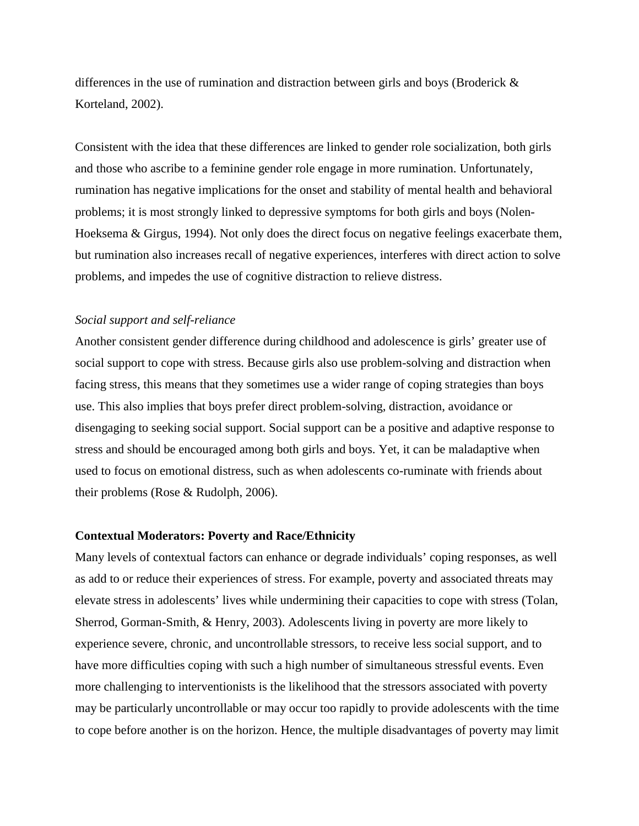differences in the use of rumination and distraction between girls and boys (Broderick  $\&$ Korteland, 2002).

Consistent with the idea that these differences are linked to gender role socialization, both girls and those who ascribe to a feminine gender role engage in more rumination. Unfortunately, rumination has negative implications for the onset and stability of mental health and behavioral problems; it is most strongly linked to depressive symptoms for both girls and boys (Nolen-Hoeksema & Girgus, 1994). Not only does the direct focus on negative feelings exacerbate them, but rumination also increases recall of negative experiences, interferes with direct action to solve problems, and impedes the use of cognitive distraction to relieve distress.

### *Social support and self-reliance*

Another consistent gender difference during childhood and adolescence is girls' greater use of social support to cope with stress. Because girls also use problem-solving and distraction when facing stress, this means that they sometimes use a wider range of coping strategies than boys use. This also implies that boys prefer direct problem-solving, distraction, avoidance or disengaging to seeking social support. Social support can be a positive and adaptive response to stress and should be encouraged among both girls and boys. Yet, it can be maladaptive when used to focus on emotional distress, such as when adolescents co-ruminate with friends about their problems (Rose & Rudolph, 2006).

### **Contextual Moderators: Poverty and Race/Ethnicity**

Many levels of contextual factors can enhance or degrade individuals' coping responses, as well as add to or reduce their experiences of stress. For example, poverty and associated threats may elevate stress in adolescents' lives while undermining their capacities to cope with stress (Tolan, Sherrod, Gorman-Smith, & Henry, 2003). Adolescents living in poverty are more likely to experience severe, chronic, and uncontrollable stressors, to receive less social support, and to have more difficulties coping with such a high number of simultaneous stressful events. Even more challenging to interventionists is the likelihood that the stressors associated with poverty may be particularly uncontrollable or may occur too rapidly to provide adolescents with the time to cope before another is on the horizon. Hence, the multiple disadvantages of poverty may limit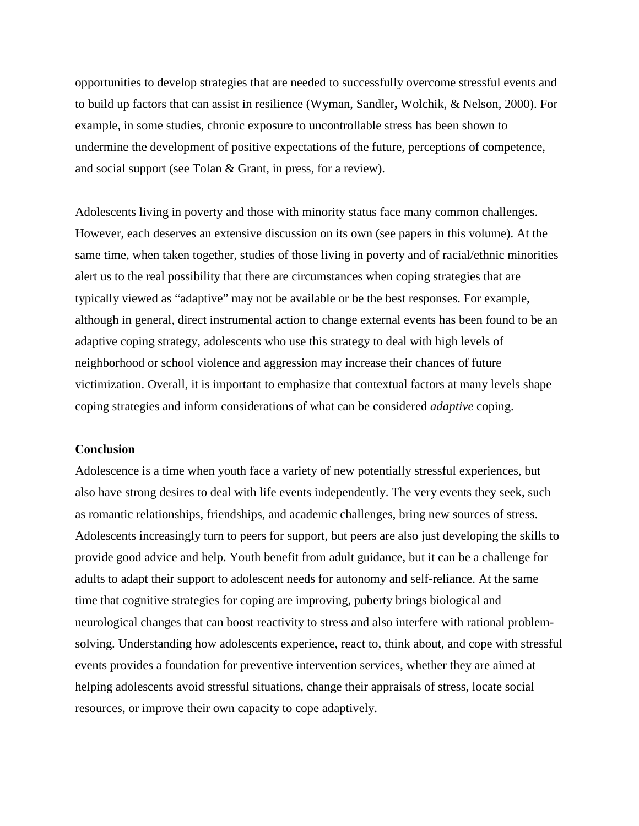opportunities to develop strategies that are needed to successfully overcome stressful events and to build up factors that can assist in resilience (Wyman, Sandler**,** Wolchik, & Nelson, 2000). For example, in some studies, chronic exposure to uncontrollable stress has been shown to undermine the development of positive expectations of the future, perceptions of competence, and social support (see Tolan & Grant, in press, for a review).

Adolescents living in poverty and those with minority status face many common challenges. However, each deserves an extensive discussion on its own (see papers in this volume). At the same time, when taken together, studies of those living in poverty and of racial/ethnic minorities alert us to the real possibility that there are circumstances when coping strategies that are typically viewed as "adaptive" may not be available or be the best responses. For example, although in general, direct instrumental action to change external events has been found to be an adaptive coping strategy, adolescents who use this strategy to deal with high levels of neighborhood or school violence and aggression may increase their chances of future victimization. Overall, it is important to emphasize that contextual factors at many levels shape coping strategies and inform considerations of what can be considered *adaptive* coping.

### **Conclusion**

Adolescence is a time when youth face a variety of new potentially stressful experiences, but also have strong desires to deal with life events independently. The very events they seek, such as romantic relationships, friendships, and academic challenges, bring new sources of stress. Adolescents increasingly turn to peers for support, but peers are also just developing the skills to provide good advice and help. Youth benefit from adult guidance, but it can be a challenge for adults to adapt their support to adolescent needs for autonomy and self-reliance. At the same time that cognitive strategies for coping are improving, puberty brings biological and neurological changes that can boost reactivity to stress and also interfere with rational problemsolving. Understanding how adolescents experience, react to, think about, and cope with stressful events provides a foundation for preventive intervention services, whether they are aimed at helping adolescents avoid stressful situations, change their appraisals of stress, locate social resources, or improve their own capacity to cope adaptively.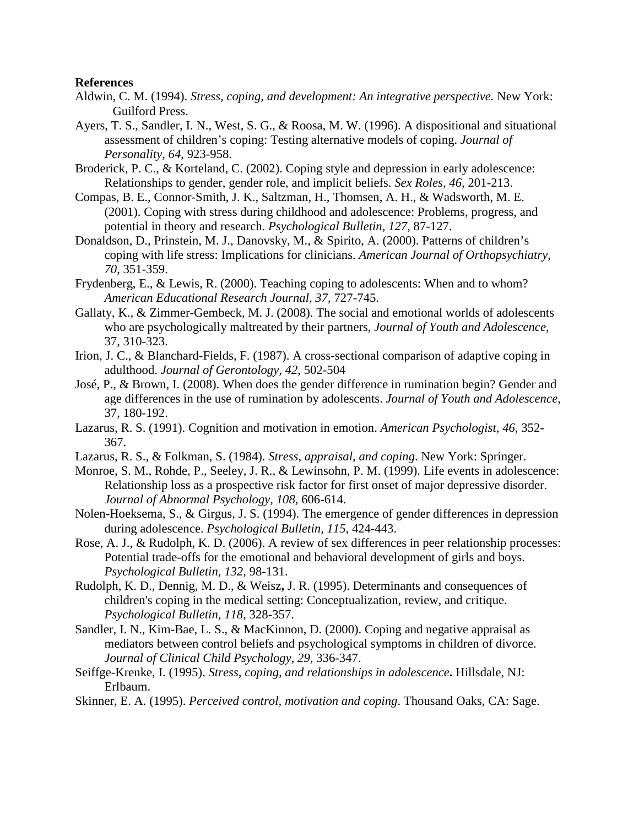### **References**

- Aldwin, C. M. (1994). *Stress, coping, and development: An integrative perspective.* New York: Guilford Press.
- Ayers, T. S., Sandler, I. N., West, S. G., & Roosa, M. W. (1996). A dispositional and situational assessment of children's coping: Testing alternative models of coping. *Journal of Personality, 64*, 923-958.
- Broderick, P. C., & Korteland, C. (2002). Coping style and depression in early adolescence: Relationships to gender, gender role, and implicit beliefs. *Sex Roles, 46*, 201-213.
- Compas, B. E., Connor-Smith, J. K., Saltzman, H., Thomsen, A. H., & Wadsworth, M. E. (2001). Coping with stress during childhood and adolescence: Problems, progress, and potential in theory and research. *Psychological Bulletin, 127*, 87-127.
- Donaldson, D., Prinstein, M. J., Danovsky, M., & Spirito, A. (2000). Patterns of children's coping with life stress: Implications for clinicians. *American Journal of Orthopsychiatry, 70*, 351-359.
- Frydenberg, E., & Lewis, R. (2000). Teaching coping to adolescents: When and to whom? *American Educational Research Journal, 37*, 727-745.
- Gallaty, K., & Zimmer-Gembeck, M. J. (2008). The social and emotional worlds of adolescents who are psychologically maltreated by their partners, *Journal of Youth and Adolescence*, 37, 310-323.
- Irion, J. C., & Blanchard-Fields, F. (1987). A cross-sectional comparison of adaptive coping in adulthood. *Journal of Gerontology, 42*, 502-504
- José, P., & Brown, I. (2008). When does the gender difference in rumination begin? Gender and age differences in the use of rumination by adolescents. *Journal of Youth and Adolescence*, 37, 180-192.
- Lazarus, R. S. (1991). Cognition and motivation in emotion. *American Psychologist, 46*, 352- 367.
- Lazarus, R. S., & Folkman, S. (1984). *Stress, appraisal, and coping*. New York: Springer.
- Monroe, S. M., Rohde, P.*,* Seeley, J. R.*,* & Lewinsohn, P. M. (1999). Life events in adolescence: Relationship loss as a prospective risk factor for first onset of major depressive disorder. *Journal of Abnormal Psychology, 108,* 606-614.
- Nolen-Hoeksema, S., & Girgus, J. S. (1994). The emergence of gender differences in depression during adolescence. *Psychological Bulletin, 115*, 424-443.
- Rose, A. J., & Rudolph, K. D. (2006). A review of sex differences in peer relationship processes: Potential trade-offs for the emotional and behavioral development of girls and boys. *Psychological Bulletin, 132*, 98-131.
- Rudolph, K. D., Dennig, M. D., & Weisz**,** J. R. (1995). Determinants and consequences of children's coping in the medical setting: Conceptualization, review, and critique. *Psychological Bulletin, 118*, 328-357.
- Sandler, I. N., Kim-Bae, L. S., & MacKinnon, D. (2000). Coping and negative appraisal as mediators between control beliefs and psychological symptoms in children of divorce. *Journal of Clinical Child Psychology, 29*, 336-347.
- Seiffge-Krenke, I. (1995). *Stress, coping, and relationships in adolescence***.** Hillsdale, NJ: Erlbaum.
- Skinner, E. A. (1995). *Perceived control, motivation and coping*. Thousand Oaks, CA: Sage.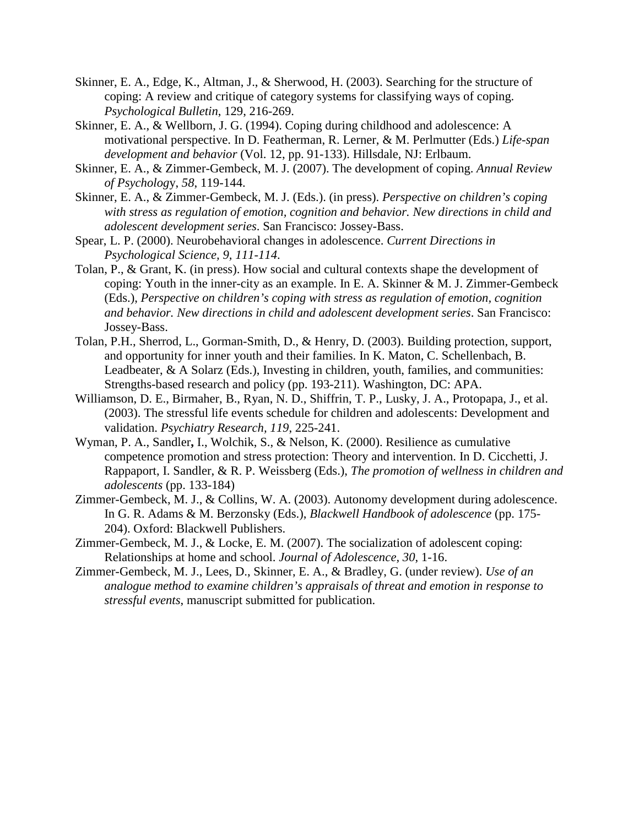- Skinner, E. A., Edge, K., Altman, J., & Sherwood, H. (2003). Searching for the structure of coping: A review and critique of category systems for classifying ways of coping. *Psychological Bulletin*, 129, 216-269.
- Skinner, E. A., & Wellborn, J. G. (1994). Coping during childhood and adolescence: A motivational perspective. In D. Featherman, R. Lerner, & M. Perlmutter (Eds.) *Life-span development and behavior* (Vol. 12, pp. 91-133). Hillsdale, NJ: Erlbaum.
- Skinner, E. A., & Zimmer-Gembeck, M. J. (2007). The development of coping. *Annual Review of Psycholog*y, *58*, 119-144.
- Skinner, E. A., & Zimmer-Gembeck, M. J. (Eds.). (in press). *Perspective on children's coping with stress as regulation of emotion, cognition and behavior. New directions in child and adolescent development series*. San Francisco: Jossey-Bass.
- Spear, L. P. (2000). Neurobehavioral changes in adolescence. *Current Directions in Psychological Science, 9, 111-114*.
- Tolan, P., & Grant, K. (in press). How social and cultural contexts shape the development of coping: Youth in the inner-city as an example. In E. A. Skinner & M. J. Zimmer-Gembeck (Eds.), *Perspective on children's coping with stress as regulation of emotion, cognition and behavior. New directions in child and adolescent development series*. San Francisco: Jossey-Bass.
- Tolan, P.H., Sherrod, L., Gorman-Smith, D., & Henry, D. (2003). Building protection, support, and opportunity for inner youth and their families. In K. Maton, C. Schellenbach, B. Leadbeater, & A Solarz (Eds.), Investing in children, youth, families, and communities: Strengths-based research and policy (pp. 193-211). Washington, DC: APA.
- Williamson, D. E., Birmaher, B., Ryan, N. D., Shiffrin, T. P., Lusky, J. A., Protopapa, J., et al. (2003). The stressful life events schedule for children and adolescents: Development and validation. *Psychiatry Research, 119*, 225-241.
- Wyman, P. A., Sandler**,** I., Wolchik, S., & Nelson, K. (2000). Resilience as cumulative competence promotion and stress protection: Theory and intervention. In D. Cicchetti, J. Rappaport, I. Sandler, & R. P. Weissberg (Eds.), *The promotion of wellness in children and adolescents* (pp. 133-184)
- Zimmer-Gembeck, M. J., & Collins, W. A. (2003). Autonomy development during adolescence. In G. R. Adams & M. Berzonsky (Eds.), *Blackwell Handbook of adolescence* (pp. 175- 204). Oxford: Blackwell Publishers.
- Zimmer-Gembeck, M. J., & Locke, E. M. (2007). The socialization of adolescent coping: Relationships at home and school. *Journal of Adolescence, 30*, 1-16.
- Zimmer-Gembeck, M. J., Lees, D., Skinner, E. A., & Bradley, G. (under review). *Use of an analogue method to examine children's appraisals of threat and emotion in response to stressful events*, manuscript submitted for publication.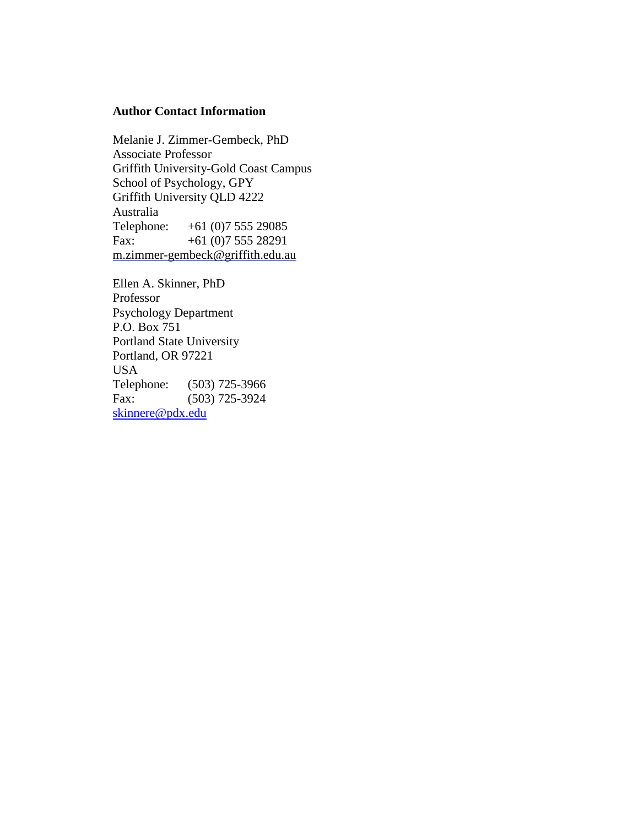# **Author Contact Information**

Melanie J. Zimmer-Gembeck, PhD Associate Professor Griffith University-Gold Coast Campus School of Psychology, GPY Griffith University QLD 4222 Australia Telephone: +61 (0)7 555 29085 Fax:  $+61(0)755528291$ m.zimmer-gembeck@griffith.edu.au

Ellen A. Skinner, PhD Professor Psychology Department P.O. Box 751 Portland State University Portland, OR 97221 USA Telephone: (503) 725-3966 Fax: (503) 725-3924 skinnere@pdx.edu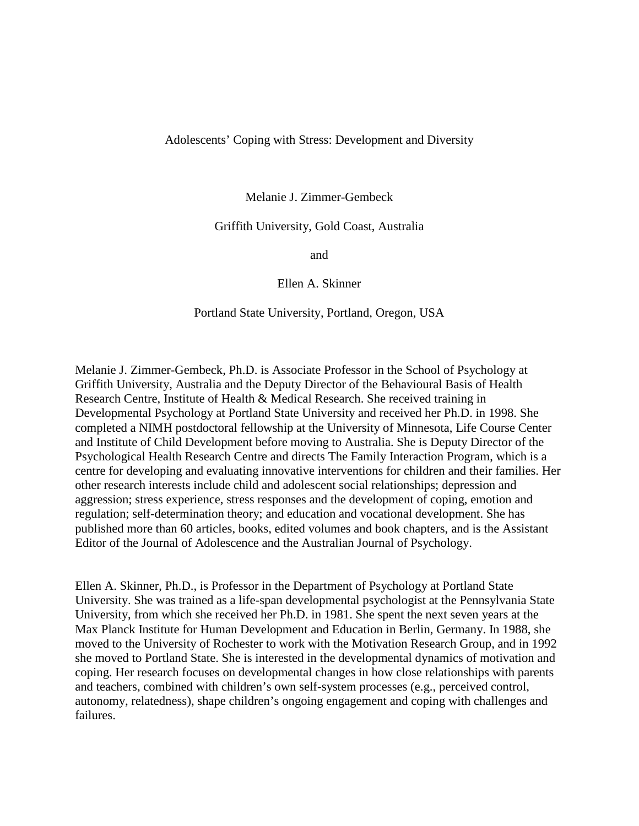### Adolescents' Coping with Stress: Development and Diversity

Melanie J. Zimmer-Gembeck

# Griffith University, Gold Coast, Australia

and

Ellen A. Skinner

### Portland State University, Portland, Oregon, USA

Melanie J. Zimmer-Gembeck, Ph.D. is Associate Professor in the School of Psychology at Griffith University, Australia and the Deputy Director of the Behavioural Basis of Health Research Centre, Institute of Health & Medical Research. She received training in Developmental Psychology at Portland State University and received her Ph.D. in 1998. She completed a NIMH postdoctoral fellowship at the University of Minnesota, Life Course Center and Institute of Child Development before moving to Australia. She is Deputy Director of the Psychological Health Research Centre and directs The Family Interaction Program, which is a centre for developing and evaluating innovative interventions for children and their families. Her other research interests include child and adolescent social relationships; depression and aggression; stress experience, stress responses and the development of coping, emotion and regulation; self-determination theory; and education and vocational development. She has published more than 60 articles, books, edited volumes and book chapters, and is the Assistant Editor of the Journal of Adolescence and the Australian Journal of Psychology.

Ellen A. Skinner, Ph.D., is Professor in the Department of Psychology at Portland State University. She was trained as a life-span developmental psychologist at the Pennsylvania State University, from which she received her Ph.D. in 1981. She spent the next seven years at the Max Planck Institute for Human Development and Education in Berlin, Germany. In 1988, she moved to the University of Rochester to work with the Motivation Research Group, and in 1992 she moved to Portland State. She is interested in the developmental dynamics of motivation and coping. Her research focuses on developmental changes in how close relationships with parents and teachers, combined with children's own self-system processes (e.g., perceived control, autonomy, relatedness), shape children's ongoing engagement and coping with challenges and failures.